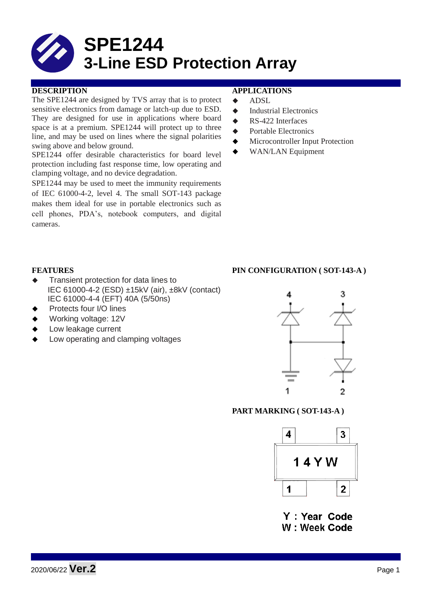

The SPE1244 are designed by TVS array that is to protect sensitive electronics from damage or latch-up due to ESD. They are designed for use in applications where board space is at a premium. SPE1244 will protect up to three line, and may be used on lines where the signal polarities swing above and below ground.

SPE1244 offer desirable characteristics for board level protection including fast response time, low operating and clamping voltage, and no device degradation.

SPE1244 may be used to meet the immunity requirements of IEC 61000-4-2, level 4. The small SOT-143 package makes them ideal for use in portable electronics such as cell phones, PDA's, notebook computers, and digital cameras.

## **DESCRIPTION APPLICATIONS**

- $\triangle$  ADSL
- $\triangleleft$  Industrial Electronics
- **► RS-422 Interfaces**
- **◆** Portable Electronics
- Microcontroller Input Protection
- ◆ WAN/LAN Equipment

#### **FEATURES PIN CONFIGURATION ( SOT-143-A )**

- **Transient protection for data lines to** IEC 61000-4-2 (ESD) ±15kV (air), ±8kV (contact) IEC 61000-4-4 (EFT) 40A (5/50ns)
- Protects four I/O lines
- Working voltage: 12V
- Low leakage current
- Low operating and clamping voltages

# 3 1 2

#### **PART MARKING ( SOT-143-A )**



Y: Year Code W: Week Code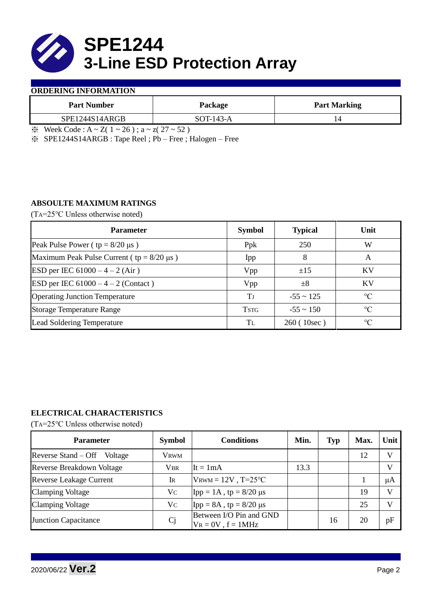

## **ORDERING INFORMATION**

| Package     | <b>Part Marking</b> |  |  |
|-------------|---------------------|--|--|
| $SOT-143-A$ |                     |  |  |
|             |                     |  |  |

 $\frac{1}{2}$  Week Code : A ~ Z( 1 ~ 26); a ~ z( 27 ~ 52)

※ SPE1244S14ARGB : Tape Reel ; Pb – Free ; Halogen – Free

# **ABSOULTE MAXIMUM RATINGS**

(TA=25℃ Unless otherwise noted)

| <b>Parameter</b>                                 | <b>Symbol</b> | <b>Typical</b> | Unit            |
|--------------------------------------------------|---------------|----------------|-----------------|
| Peak Pulse Power ( $tp = 8/20 \mu s$ )           | Ppk           | 250            | W               |
| Maximum Peak Pulse Current ( $tp = 8/20 \mu s$ ) | Ipp           | 8              | A               |
| ESD per IEC $61000 - 4 - 2$ (Air)                | Vpp           | ±15            | KV              |
| ESD per IEC $61000 - 4 - 2$ (Contact)            | Vpp           | $\pm 8$        | KV              |
| <b>Operating Junction Temperature</b>            | Tі            | $-55 \sim 125$ | $\rm ^{\circ}C$ |
| <b>Storage Temperature Range</b>                 | <b>TSTG</b>   | $-55 \sim 150$ | $\rm ^{\circ}C$ |
| <b>Lead Soldering Temperature</b>                | Tī.           | 260 (10sec)    | $\rm ^{\circ}C$ |

# **ELECTRICAL CHARACTERISTICS**

(TA=25℃ Unless otherwise noted)

| <b>Parameter</b>                 | <b>Symbol</b>  | <b>Conditions</b>                                  | Min. | <b>Typ</b> | Max. | Unit         |
|----------------------------------|----------------|----------------------------------------------------|------|------------|------|--------------|
| Reverse Stand – Off<br>Voltage   | <b>VRWM</b>    |                                                    |      |            | 12   | $\mathbf{V}$ |
| <b>Reverse Breakdown Voltage</b> | <b>VBR</b>     | $It = 1mA$                                         | 13.3 |            |      | V            |
| <b>Reverse Leakage Current</b>   | Ir             | $V_{\text{RWM}} = 12V$ , T=25°C                    |      |            |      | μA           |
| <b>Clamping Voltage</b>          | Vc             | Ipp = 1A, tp = $8/20$ μs                           |      |            | 19   | V            |
| <b>Clamping Voltage</b>          | Vc             | $\text{Ipp} = 8A$ , tp = 8/20 µs                   |      |            | 25   | $\bf{V}$     |
| <b>Junction Capacitance</b>      | C <sub>j</sub> | Between I/O Pin and GND<br>$V_R = 0V$ , $f = 1MHz$ |      | 16         | 20   | pF           |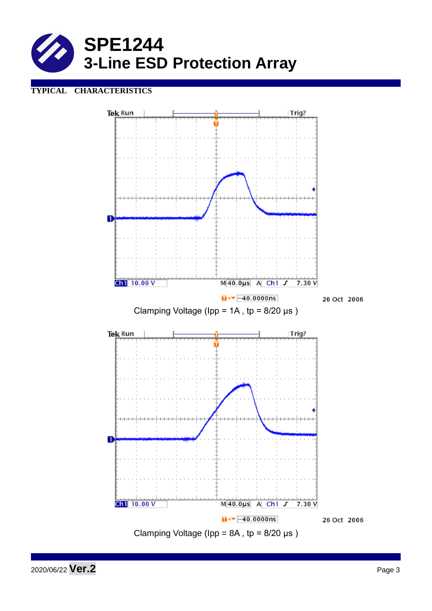

# **TYPICAL CHARACTERISTICS**



2020/06/22 **Ver.2** Page 3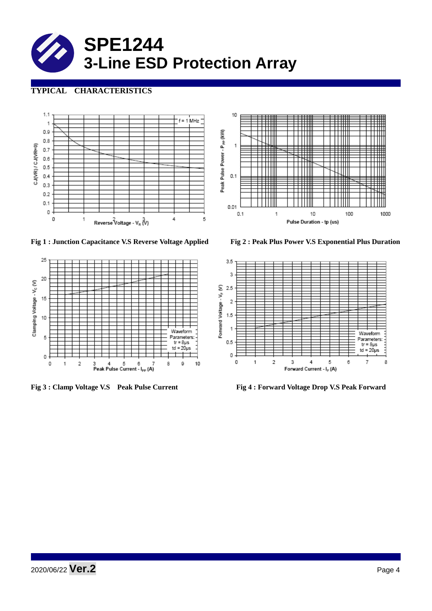

# **TYPICAL CHARACTERISTICS**



**Fig 1 : Junction Capacitance V.S Reverse Voltage Applied Fig 2 : Peak Plus Power V.S Exponential Plus Duration**







**Fig 3 : Clamp Voltage V.S Peak Pulse Current Fig 4 : Forward Voltage Drop V.S Peak Forward**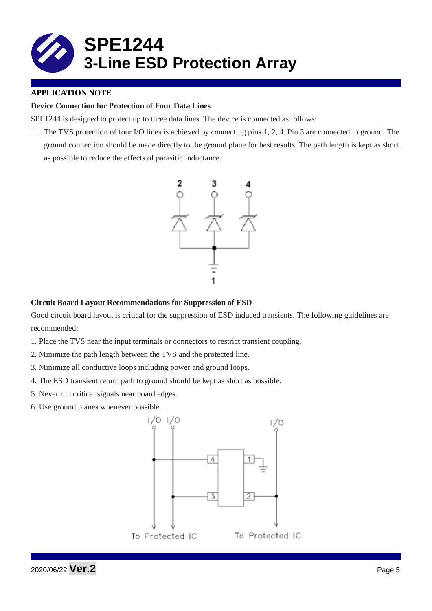

# **APPLICATION NOTE**

# **Device Connection for Protection of Four Data Lines**

SPE1244 is designed to protect up to three data lines. The device is connected as follows:

1. The TVS protection of four I/O lines is achieved by connecting pins 1, 2, 4. Pin 3 are connected to ground. The ground connection should be made directly to the ground plane for best results. The path length is kept as short as possible to reduce the effects of parasitic inductance.



## **Circuit Board Layout Recommendations for Suppression of ESD**

Good circuit board layout is critical for the suppression of ESD induced transients. The following guidelines are recommended:

- 1. Place the TVS near the input terminals or connectors to restrict transient coupling.
- 2. Minimize the path length between the TVS and the protected line.
- 3. Minimize all conductive loops including power and ground loops.
- 4. The ESD transient return path to ground should be kept as short as possible.
- 5. Never run critical signals near board edges.
- 6. Use ground planes whenever possible.